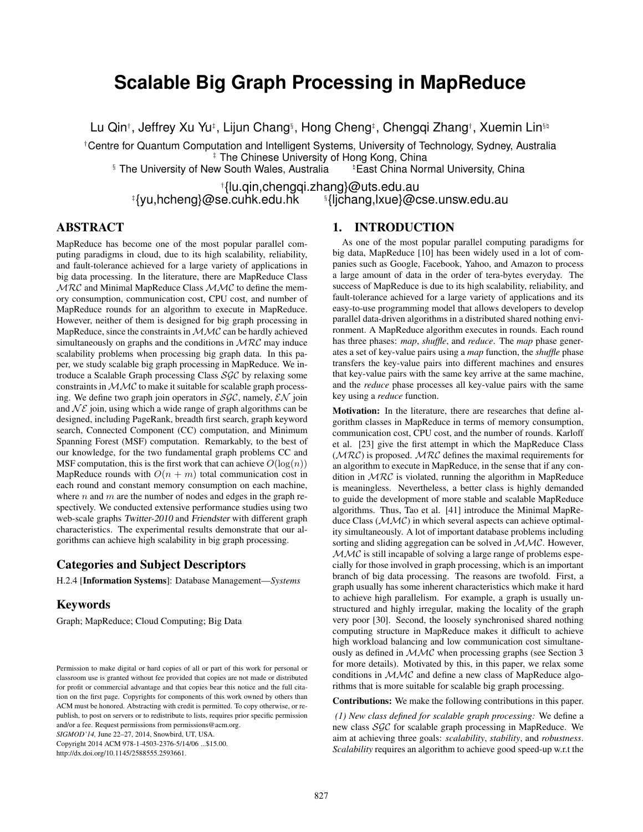# **Scalable Big Graph Processing in MapReduce**

Lu Qin<sup>†</sup>, Jeffrey Xu Yu<sup>‡</sup>, Lijun Chang<sup>§</sup>, Hong Cheng<sup>‡</sup>, Chenggi Zhang†, Xuemin Lin<sup>§₿</sup>

†Centre for Quantum Computation and Intelligent Systems, University of Technology, Sydney, Australia ‡ The Chinese University of Hong Kong, China

§ The University of New South Wales, Australia East China Normal University, China

lu.qin,chengqi.zhang}@uts.edu.au}<sup>†</sup><br>yu,hcheng}@se.cuhk.edu.hk<sup>\$</sup>}|jchang,lxue}@c}}  ${}^{\S}$ {ljchang,lxue}@cse.unsw.edu.au

### ABSTRACT

MapReduce has become one of the most popular parallel computing paradigms in cloud, due to its high scalability, reliability, and fault-tolerance achieved for a large variety of applications in big data processing. In the literature, there are MapReduce Class  $MRC$  and Minimal MapReduce Class  $MMC$  to define the memory consumption, communication cost, CPU cost, and number of MapReduce rounds for an algorithm to execute in MapReduce. However, neither of them is designed for big graph processing in MapReduce, since the constraints in  $MMC$  can be hardly achieved simultaneously on graphs and the conditions in  $MRC$  may induce scalability problems when processing big graph data. In this paper, we study scalable big graph processing in MapReduce. We introduce a Scalable Graph processing Class SGC by relaxing some constraints in  $MMC$  to make it suitable for scalable graph processing. We define two graph join operators in  $SGC$ , namely,  $\mathcal{EN}$  join and  $N\mathcal{E}$  join, using which a wide range of graph algorithms can be designed, including PageRank, breadth first search, graph keyword search, Connected Component (CC) computation, and Minimum Spanning Forest (MSF) computation. Remarkably, to the best of our knowledge, for the two fundamental graph problems CC and MSF computation, this is the first work that can achieve  $O(log(n))$ MapReduce rounds with  $O(n + m)$  total communication cost in each round and constant memory consumption on each machine, where  $n$  and  $m$  are the number of nodes and edges in the graph respectively. We conducted extensive performance studies using two web-scale graphs Twitter-2010 and Friendster with different graph characteristics. The experimental results demonstrate that our algorithms can achieve high scalability in big graph processing.

### Categories and Subject Descriptors

H.2.4 [Information Systems]: Database Management—*Systems*

#### Keywords

Graph; MapReduce; Cloud Computing; Big Data

*SIGMOD'14,* June 22–27, 2014, Snowbird, UT, USA.

Copyright 2014 ACM 978-1-4503-2376-5/14/06 ...\$15.00.

http://dx.doi.org/10.1145/2588555.2593661.

#### 1. INTRODUCTION

As one of the most popular parallel computing paradigms for big data, MapReduce [10] has been widely used in a lot of companies such as Google, Facebook, Yahoo, and Amazon to process a large amount of data in the order of tera-bytes everyday. The success of MapReduce is due to its high scalability, reliability, and fault-tolerance achieved for a large variety of applications and its easy-to-use programming model that allows developers to develop parallel data-driven algorithms in a distributed shared nothing environment. A MapReduce algorithm executes in rounds. Each round has three phases: *map*, *shuffle*, and *reduce*. The *map* phase generates a set of key-value pairs using a *map* function, the *shuffle* phase transfers the key-value pairs into different machines and ensures that key-value pairs with the same key arrive at the same machine, and the *reduce* phase processes all key-value pairs with the same key using a *reduce* function.

Motivation: In the literature, there are researches that define algorithm classes in MapReduce in terms of memory consumption, communication cost, CPU cost, and the number of rounds. Karloff et al. [23] give the first attempt in which the MapReduce Class  $(MRC)$  is proposed.  $MRC$  defines the maximal requirements for an algorithm to execute in MapReduce, in the sense that if any condition in  $MRC$  is violated, running the algorithm in MapReduce is meaningless. Nevertheless, a better class is highly demanded to guide the development of more stable and scalable MapReduce algorithms. Thus, Tao et al. [41] introduce the Minimal MapReduce Class  $(MMC)$  in which several aspects can achieve optimality simultaneously. A lot of important database problems including sorting and sliding aggregation can be solved in  $MMC$ . However, MMC is still incapable of solving a large range of problems especially for those involved in graph processing, which is an important branch of big data processing. The reasons are twofold. First, a graph usually has some inherent characteristics which make it hard to achieve high parallelism. For example, a graph is usually unstructured and highly irregular, making the locality of the graph very poor [30]. Second, the loosely synchronised shared nothing computing structure in MapReduce makes it difficult to achieve high workload balancing and low communication cost simultaneously as defined in MMC when processing graphs (see Section 3 for more details). Motivated by this, in this paper, we relax some conditions in MMC and define a new class of MapReduce algorithms that is more suitable for scalable big graph processing.

Contributions: We make the following contributions in this paper.

*(1) New class defined for scalable graph processing:* We define a new class SGC for scalable graph processing in MapReduce. We aim at achieving three goals: *scalability*, *stability*, and *robustness*. *Scalability* requires an algorithm to achieve good speed-up w.r.t the

Permission to make digital or hard copies of all or part of this work for personal or classroom use is granted without fee provided that copies are not made or distributed for profit or commercial advantage and that copies bear this notice and the full citation on the first page. Copyrights for components of this work owned by others than ACM must be honored. Abstracting with credit is permitted. To copy otherwise, or republish, to post on servers or to redistribute to lists, requires prior specific permission and/or a fee. Request permissions from permissions@acm.org.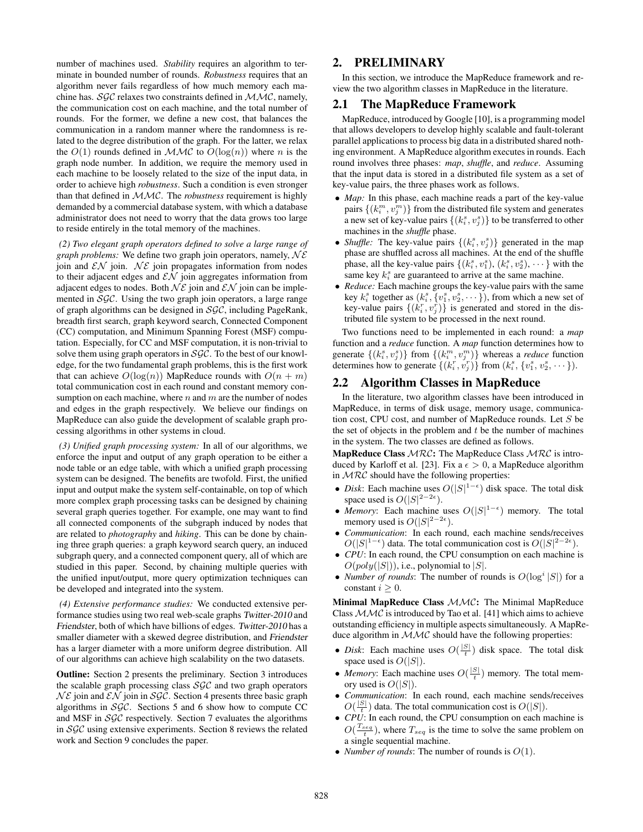number of machines used. *Stability* requires an algorithm to terminate in bounded number of rounds. *Robustness* requires that an algorithm never fails regardless of how much memory each machine has.  $SGC$  relaxes two constraints defined in  $MMC$ , namely, the communication cost on each machine, and the total number of rounds. For the former, we define a new cost, that balances the communication in a random manner where the randomness is related to the degree distribution of the graph. For the latter, we relax the  $O(1)$  rounds defined in  $MMC$  to  $O(log(n))$  where n is the graph node number. In addition, we require the memory used in each machine to be loosely related to the size of the input data, in order to achieve high *robustness*. Such a condition is even stronger than that defined in MMC. The *robustness* requirement is highly demanded by a commercial database system, with which a database administrator does not need to worry that the data grows too large to reside entirely in the total memory of the machines.

*(2) Two elegant graph operators defined to solve a large range of graph problems:* We define two graph join operators, namely,  $N\mathcal{E}$ join and  $\mathcal{EN}$  join.  $N\mathcal{E}$  join propagates information from nodes to their adjacent edges and  $\mathcal{EN}$  join aggregates information from adjacent edges to nodes. Both  $N\mathcal{E}$  join and  $\mathcal{E}N$  join can be implemented in  $SGC$ . Using the two graph join operators, a large range of graph algorithms can be designed in  $SGC$ , including PageRank, breadth first search, graph keyword search, Connected Component (CC) computation, and Minimum Spanning Forest (MSF) computation. Especially, for CC and MSF computation, it is non-trivial to solve them using graph operators in  $SGC$ . To the best of our knowledge, for the two fundamental graph problems, this is the first work that can achieve  $O(log(n))$  MapReduce rounds with  $O(n + m)$ total communication cost in each round and constant memory consumption on each machine, where  $n$  and  $m$  are the number of nodes and edges in the graph respectively. We believe our findings on MapReduce can also guide the development of scalable graph processing algorithms in other systems in cloud.

*(3) Unified graph processing system:* In all of our algorithms, we enforce the input and output of any graph operation to be either a node table or an edge table, with which a unified graph processing system can be designed. The benefits are twofold. First, the unified input and output make the system self-containable, on top of which more complex graph processing tasks can be designed by chaining several graph queries together. For example, one may want to find all connected components of the subgraph induced by nodes that are related to *photography* and *hiking*. This can be done by chaining three graph queries: a graph keyword search query, an induced subgraph query, and a connected component query, all of which are studied in this paper. Second, by chaining multiple queries with the unified input/output, more query optimization techniques can be developed and integrated into the system.

*(4) Extensive performance studies:* We conducted extensive performance studies using two real web-scale graphs Twitter-2010 and Friendster, both of which have billions of edges. Twitter-2010 has a smaller diameter with a skewed degree distribution, and Friendster has a larger diameter with a more uniform degree distribution. All of our algorithms can achieve high scalability on the two datasets.

Outline: Section 2 presents the preliminary. Section 3 introduces the scalable graph processing class  $SGC$  and two graph operators  $N\mathcal{E}$  join and  $\mathcal{EN}$  join in SGC. Section 4 presents three basic graph algorithms in  $SGC$ . Sections 5 and 6 show how to compute CC and MSF in  $SGC$  respectively. Section 7 evaluates the algorithms in SGC using extensive experiments. Section 8 reviews the related work and Section 9 concludes the paper.

### 2. PRELIMINARY

In this section, we introduce the MapReduce framework and review the two algorithm classes in MapReduce in the literature.

#### 2.1 The MapReduce Framework

MapReduce, introduced by Google [10], is a programming model that allows developers to develop highly scalable and fault-tolerant parallel applications to process big data in a distributed shared nothing environment. A MapReduce algorithm executes in rounds. Each round involves three phases: *map*, *shuffle*, and *reduce*. Assuming that the input data is stored in a distributed file system as a set of key-value pairs, the three phases work as follows.

- *Map*: In this phase, each machine reads a part of the key-value pairs  $\{(k_i^m, v_j^m)\}$  from the distributed file system and generates a new set of key-value pairs  $\{(k_i^s, v_j^s)\}$  to be transferred to other machines in the *shuffle* phase.
- *Shuffle:* The key-value pairs  $\{(k_i^s, v_j^s)\}$  generated in the map phase are shuffled across all machines. At the end of the shuffle phase, all the key-value pairs  $\{(k_i^s, v_1^s), (k_i^s, v_2^s), \dots\}$  with the same key  $k_i^s$  are guaranteed to arrive at the same machine.
- *Reduce:* Each machine groups the key-value pairs with the same key  $k_i^s$  together as  $(k_i^s, \{v_1^s, v_2^s, \dots\})$ , from which a new set of key-value pairs  $\{(k_i^r, v_j^r)\}\$ is generated and stored in the distributed file system to be processed in the next round.

Two functions need to be implemented in each round: a *map* function and a *reduce* function. A *map* function determines how to generate  $\{(k_i^s, v_j^s)\}$  from  $\{(k_i^m, v_j^m)\}$  whereas a *reduce* function determines how to generate  $\{(k_i^r, v_j^r)\}$  from  $(k_i^s, \{v_1^s, v_2^s, \dots\})$ .

#### 2.2 Algorithm Classes in MapReduce

In the literature, two algorithm classes have been introduced in MapReduce, in terms of disk usage, memory usage, communication cost, CPU cost, and number of MapReduce rounds. Let S be the set of objects in the problem and  $t$  be the number of machines in the system. The two classes are defined as follows.

**MapReduce Class**  $MRC$ **:** The MapReduce Class  $MRC$  is introduced by Karloff et al. [23]. Fix  $a \epsilon > 0$ , a MapReduce algorithm in  $MRC$  should have the following properties:

- *Disk*: Each machine uses  $O(|S|^{1-\epsilon})$  disk space. The total disk space used is  $O(|S|^{2-2\epsilon})$ .
- *Memory*: Each machine uses  $O(|S|^{1-\epsilon})$  memory. The total memory used is  $O(|S|^{2-2\epsilon})$ .
- *Communication*: In each round, each machine sends/receives  $O(|S|^{1-\epsilon})$  data. The total communication cost is  $O(|S|^{2-2\epsilon})$ .
- *CPU*: In each round, the CPU consumption on each machine is  $O(poly(|S|))$ , i.e., polynomial to  $|S|$ .
- *Number of rounds*: The number of rounds is  $O(log^{i} |S|)$  for a constant  $i \geq 0$ .

Minimal MapReduce Class  $MMC$ : The Minimal MapReduce Class  $MMC$  is introduced by Tao et al. [41] which aims to achieve outstanding efficiency in multiple aspects simultaneously. A MapReduce algorithm in  $MMC$  should have the following properties:

- *Disk*: Each machine uses  $O(\frac{|S|}{t})$  disk space. The total disk space used is  $O(|S|)$ .
- *Memory*: Each machine uses  $O(\frac{|S|}{t})$  memory. The total memory used is  $O(|S|)$ .
- *Communication*: In each round, each machine sends/receives  $O(\frac{|S|}{t})$  data. The total communication cost is  $O(|S|)$ .
- *CPU*: In each round, the CPU consumption on each machine is  $O(\frac{T_{seq}}{t})$ , where  $T_{seq}$  is the time to solve the same problem on a single sequential machine.
- *Number of rounds*: The number of rounds is  $O(1)$ .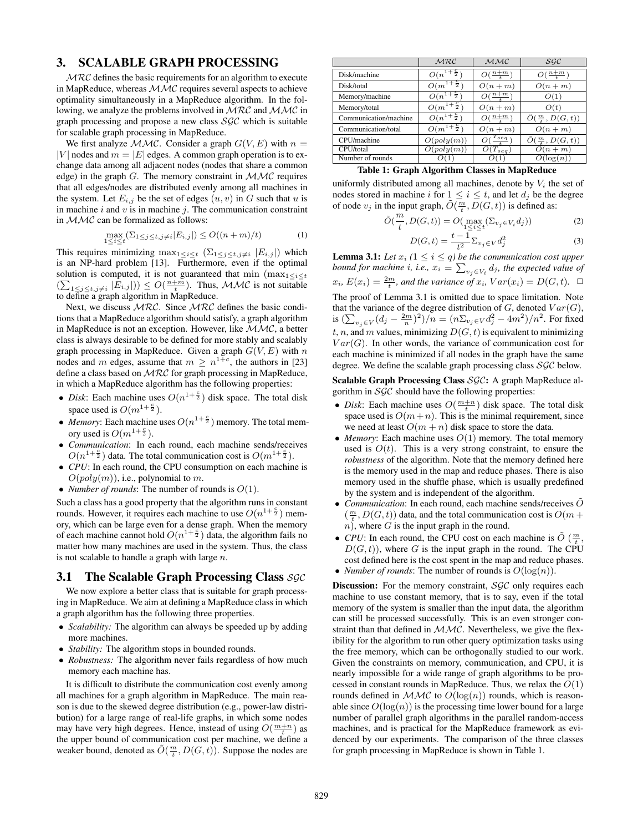#### 3. SCALABLE GRAPH PROCESSING

 $MRC$  defines the basic requirements for an algorithm to execute in MapReduce, whereas  $MMC$  requires several aspects to achieve optimality simultaneously in a MapReduce algorithm. In the following, we analyze the problems involved in MRC and MMC in graph processing and propose a new class  $SGC$  which is suitable for scalable graph processing in MapReduce.

We first analyze  $MMC$ . Consider a graph  $G(V, E)$  with  $n =$ |V| nodes and  $m = |E|$  edges. A common graph operation is to exchange data among all adjacent nodes (nodes that share a common edge) in the graph  $G$ . The memory constraint in  $MMC$  requires that all edges/nodes are distributed evenly among all machines in the system. Let  $E_{i,j}$  be the set of edges  $(u, v)$  in G such that u is in machine  $i$  and  $v$  is in machine  $j$ . The communication constraint in  $\mathcal{MMC}$  can be formalized as follows:

$$
\max_{1 \le i \le t} \left( \sum_{1 \le j \le t, j \ne i} |E_{i,j}| \right) \le O((n+m)/t) \tag{1}
$$

This requires minimizing  $\max_{1 \leq i \leq t} (\sum_{1 \leq j \leq t, j \neq i} |E_{i,j}|)$  which is an NP-hard problem [13]. Furthermore, even if the optimal solution is computed, it is not guaranteed that min  $(\max_{1 \leq i \leq t}$  $(\sum_{1 \leq j \leq t, j \neq i} |E_{i,j}|) \leq O(\frac{n+m}{t})$ . Thus, MMC is not suitable to define a graph algorithm in MapReduce.

Next, we discuss  $MRC$ . Since  $MRC$  defines the basic conditions that a MapReduce algorithm should satisfy, a graph algorithm in MapReduce is not an exception. However, like MMC, a better class is always desirable to be defined for more stably and scalably graph processing in MapReduce. Given a graph  $G(V, E)$  with n nodes and m edges, assume that  $m \ge n^{1+\epsilon}$ , the authors in [23] define a class based on MRC for graph processing in MapReduce, in which a MapReduce algorithm has the following properties:

- *Disk*: Each machine uses  $O(n^{1+\frac{c}{2}})$  disk space. The total disk space used is  $O(m^{1+\frac{c}{2}})$ .
- *Memory*: Each machine uses  $O(n^{1+\frac{c}{2}})$  memory. The total memory used is  $O(m^{1+\frac{c}{2}})$ .
- *Communication*: In each round, each machine sends/receives  $O(n^{1+\frac{c}{2}})$  data. The total communication cost is  $O(m^{1+\frac{c}{2}})$ .
- *CPU*: In each round, the CPU consumption on each machine is  $O(poly(m))$ , i.e., polynomial to m.
- *Number of rounds*: The number of rounds is  $O(1)$ .

Such a class has a good property that the algorithm runs in constant rounds. However, it requires each machine to use  $O(n^{1+\frac{c}{2}})$  memory, which can be large even for a dense graph. When the memory of each machine cannot hold  $O(n^{1+\frac{c}{2}})$  data, the algorithm fails no matter how many machines are used in the system. Thus, the class is not scalable to handle a graph with large  $n$ .

### 3.1 The Scalable Graph Processing Class  $SGC$

We now explore a better class that is suitable for graph processing in MapReduce. We aim at defining a MapReduce class in which a graph algorithm has the following three properties.

- *Scalability:* The algorithm can always be speeded up by adding more machines.
- *Stability:* The algorithm stops in bounded rounds.
- *Robustness:* The algorithm never fails regardless of how much memory each machine has.

It is difficult to distribute the communication cost evenly among all machines for a graph algorithm in MapReduce. The main reason is due to the skewed degree distribution (e.g., power-law distribution) for a large range of real-life graphs, in which some nodes may have very high degrees. Hence, instead of using  $O(\frac{m+n}{t})$  as the upper bound of communication cost per machine, we define a weaker bound, denoted as  $\tilde{O}(\frac{m}{t}, D(G, t))$ . Suppose the nodes are

|                       | MRC                    | MMC                     | SGC                               |
|-----------------------|------------------------|-------------------------|-----------------------------------|
| Disk/machine          | $O(n^{1+\frac{c}{2}})$ | $O(\frac{n+m}{4})$      | $\overline{O}(\frac{n+m}{t})$     |
| Disk/total            | $O(m^{1+\frac{c}{2}})$ | $O(n+m)$                | $O(n+m)$                          |
| Memory/machine        | $O(n^{1+\frac{5}{2}})$ | $O(\frac{n+m}{t})$      | O(1)                              |
| Memory/total          | $O(m^{1+\frac{c}{2}})$ | $O(n+m)$                | O(t)                              |
| Communication/machine | $O(n^{1+\frac{C}{2}})$ | $O(\frac{n+m}{4})$      | $\tilde{O}(\frac{m}{t}, D(G, t))$ |
| Communication/total   | $O(m^{1+\frac{5}{2}})$ | $O(n+m)$                | $O(n+m)$                          |
| CPU/machine           | O(poly(m))             | $I_{seq}$               | $\tilde{O}(\frac{m}{t}, D(G, t))$ |
| CPU/total             | O(poly(m))             | $\overline{O(T_{seg})}$ | $O(n+m)$                          |
| Number of rounds      |                        |                         | $O(\log(n))$                      |

#### Table 1: Graph Algorithm Classes in MapReduce

uniformly distributed among all machines, denote by  $V_i$  the set of nodes stored in machine i for  $1 \le i \le t$ , and let  $d_j$  be the degree of node  $v_j$  in the input graph,  $\tilde{O}(\frac{m}{t}, D(G, t))$  is defined as:

$$
\tilde{O}(\frac{m}{t}, D(G, t)) = O(\max_{1 \le i \le t} (\Sigma_{v_j \in V_i} d_j))
$$
\n
$$
D(G, t) = \frac{t - 1}{t^2} \Sigma_{v_j \in V} d_j^2
$$
\n(3)

**Lemma 3.1:** Let  $x_i$   $(1 \leq i \leq q)$  be the communication cost upper *bound for machine i, i.e.,*  $x_i = \sum_{v_j \in V_i} d_j$ *, the expected value of*  $x_i$ ,  $E(x_i) = \frac{2m}{t}$ , and the variance of  $x_i$ ,  $Var(x_i) = D(G, t)$ .  $\Box$ The proof of Lemma 3.1 is omitted due to space limitation. Note that the variance of the degree distribution of  $G$ , denoted  $Var(G)$ , is  $(\sum_{v_j \in V} (d_j - \frac{2m}{n})^2)/n = (n \Sigma_{v_j \in V} d_j^2 - 4m^2)/n^2$ . For fixed t, n, and m values, minimizing  $D(G, t)$  is equivalent to minimizing  $Var(G)$ . In other words, the variance of communication cost for each machine is minimized if all nodes in the graph have the same degree. We define the scalable graph processing class  $SGC$  below.

Scalable Graph Processing Class SGC: A graph MapReduce algorithm in SGC should have the following properties:

- *Disk*: Each machine uses  $O(\frac{m+n}{t})$  disk space. The total disk space used is  $O(m+n)$ . This is the minimal requirement, since we need at least  $O(m + n)$  disk space to store the data.
- *Memory*: Each machine uses  $O(1)$  memory. The total memory used is  $O(t)$ . This is a very strong constraint, to ensure the *robustness* of the algorithm. Note that the memory defined here is the memory used in the map and reduce phases. There is also memory used in the shuffle phase, which is usually predefined by the system and is independent of the algorithm.
- *Communication*: In each round, each machine sends/receives  $\tilde{O}$  $(\frac{m}{t}, D(G, t))$  data, and the total communication cost is  $O(m +$  $n$ ), where G is the input graph in the round.
- *CPU*: In each round, the CPU cost on each machine is  $\tilde{O}(\frac{m}{t})$ ,  $D(G, t)$ , where G is the input graph in the round. The CPU cost defined here is the cost spent in the map and reduce phases.
- *Number of rounds*: The number of rounds is  $O(log(n))$ .

Discussion: For the memory constraint, SGC only requires each machine to use constant memory, that is to say, even if the total memory of the system is smaller than the input data, the algorithm can still be processed successfully. This is an even stronger constraint than that defined in MMC. Nevertheless, we give the flexibility for the algorithm to run other query optimization tasks using the free memory, which can be orthogonally studied to our work. Given the constraints on memory, communication, and CPU, it is nearly impossible for a wide range of graph algorithms to be processed in constant rounds in MapReduce. Thus, we relax the  $O(1)$ rounds defined in  $MMC$  to  $O(log(n))$  rounds, which is reasonable since  $O(\log(n))$  is the processing time lower bound for a large number of parallel graph algorithms in the parallel random-access machines, and is practical for the MapReduce framework as evidenced by our experiments. The comparison of the three classes for graph processing in MapReduce is shown in Table 1.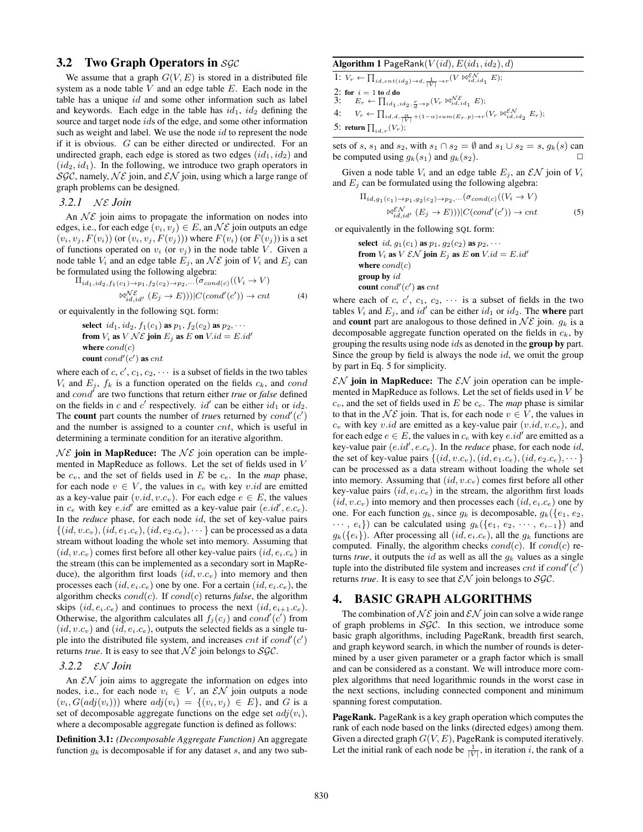### **3.2** Two Graph Operators in SGC

We assume that a graph  $G(V, E)$  is stored in a distributed file system as a node table  $V$  and an edge table  $E$ . Each node in the table has a unique  $id$  and some other information such as label and keywords. Each edge in the table has  $id_1$ ,  $id_2$  defining the source and target node ids of the edge, and some other information such as weight and label. We use the node  $id$  to represent the node if it is obvious. G can be either directed or undirected. For an undirected graph, each edge is stored as two edges  $(id_1, id_2)$  and  $(id_2, id_1)$ . In the following, we introduce two graph operators in SGC, namely,  $N\mathcal{E}$  join, and  $\mathcal{EN}$  join, using which a large range of graph problems can be designed.

#### *3.2.1 Nε Join*

An  $N\mathcal{E}$  join aims to propagate the information on nodes into edges, i.e., for each edge  $(v_i, v_j) \in E$ , an  $N\mathcal{E}$  join outputs an edge  $(v_i, v_j, F(v_i))$  (or  $(v_i, v_j, F(v_j))$ ) where  $F(v_i)$  (or  $F(v_j)$ ) is a set of functions operated on  $v_i$  (or  $v_j$ ) in the node table V. Given a node table  $V_i$  and an edge table  $E_j$ , an  $\mathcal{NE}$  join of  $V_i$  and  $E_j$  can be formulated using the following algebra:

$$
\Pi_{id_1, id_2, f_1(c_1) \to p_1, f_2(c_2) \to p_2, \dots (\sigma_{cond(c)}((V_i \to V))
$$
  

$$
\bowtie_{id,id'}^{N\mathcal{E}} (E_j \to E))||C(cond'(c')) \to \text{cnt}
$$
 (4)

or equivalently in the following SQL form:

select  $id_1$ ,  $id_2$ ,  $f_1(c_1)$  as  $p_1$ ,  $f_2(c_2)$  as  $p_2$ ,  $\cdots$ from  $V_i$  as  $V \mathcal{NE}$  join  $E_j$  as  $E$  on  $V.id = E.id'$ where  $cond(c)$ count  $cond'(c')$  as  $cnt$ 

where each of c, c', c<sub>1</sub>, c<sub>2</sub>,  $\cdots$  is a subset of fields in the two tables  $V_i$  and  $E_j$ ,  $f_k$  is a function operated on the fields  $c_k$ , and cond and cond′ are two functions that return either *true* or *false* defined on the fields in c and c' respectively.  $id'$  can be either  $id_1$  or  $id_2$ . The **count** part counts the number of *trues* returned by  $cond'(c')$ and the number is assigned to a counter cnt, which is useful in determining a terminate condition for an iterative algorithm.

 $N\mathcal{E}$  join in MapReduce: The  $N\mathcal{E}$  join operation can be implemented in MapReduce as follows. Let the set of fields used in V be  $c_v$ , and the set of fields used in  $E$  be  $c_e$ . In the *map* phase, for each node  $v \in V$ , the values in  $c_v$  with key v.id are emitted as a key-value pair  $(v.id, v.c_v)$ . For each edge  $e \in E$ , the values in  $c_e$  with key  $e.id'$  are emitted as a key-value pair  $(e.id', e.c_e)$ . In the *reduce* phase, for each node id, the set of key-value pairs  $\{(id, v.c_v), (id, e_1.c_e), (id, e_2.c_e), \cdots\}$  can be processed as a data stream without loading the whole set into memory. Assuming that  $(id, v.c_v)$  comes first before all other key-value pairs  $(id, e_i.c_e)$  in the stream (this can be implemented as a secondary sort in MapReduce), the algorithm first loads  $(id, v.c_v)$  into memory and then processes each  $(id, e_i.c_e)$  one by one. For a certain  $(id, e_i.c_e)$ , the algorithm checks cond(c). If cond(c) returns *false*, the algorithm skips  $(id, e_i.c_e)$  and continues to process the next  $(id, e_{i+1}.c_e)$ . Otherwise, the algorithm calculates all  $f_j(c_j)$  and  $cond'(c')$  from  $(id, v.c<sub>v</sub>)$  and  $(id, e<sub>i</sub>.c<sub>e</sub>)$ , outputs the selected fields as a single tuple into the distributed file system, and increases  $cnt$  if  $cond'(c')$ returns *true*. It is easy to see that  $N\mathcal{E}$  join belongs to SGC.

#### *3.2.2* EN *Join*

An  $\mathcal{EN}$  join aims to aggregate the information on edges into nodes, i.e., for each node  $v_i \in V$ , an  $\mathcal{EN}$  join outputs a node  $(v_i, G(adj(v_i)))$  where  $adj(v_i) = \{(v_i, v_j) \in E\}$ , and G is a set of decomposable aggregate functions on the edge set  $adj(v_i)$ , where a decomposable aggregate function is defined as follows:

Definition 3.1: *(Decomposable Aggregate Function)* An aggregate function  $g_k$  is decomposable if for any dataset s, and any two sub-

#### Algorithm 1 PageRank $(V(id), E(id_1, id_2), d)$

1: 
$$
V_r \leftarrow \prod_{id, \operatorname{cnt}(id_2) \to d, \frac{1}{|V|} \to r} (V \bowtie_{id,id_1}^{\mathcal{E}N} E);
$$
\n2: for  $i = 1$  to  $d$  do\n3:  $E_r \leftarrow \prod_{id_1, id_2, \frac{\alpha}{d} \to p} (V_r \bowtie_{id,id_1}^{\mathcal{NE}} E);$ \n4:  $V_r \leftarrow \prod_{id,d, \frac{\alpha}{|V|} + (1-\alpha) \operatorname{sum}(E_r, p) \to r} (V_r \bowtie_{id,id_2}^{\mathcal{E}N} E_r);$ \n5: return  $\prod_{id,r} (V_r);$ 

sets of s, s<sub>1</sub> and s<sub>2</sub>, with s<sub>1</sub> ∩ s<sub>2</sub> =  $\emptyset$  and s<sub>1</sub> ∪ s<sub>2</sub> = s, g<sub>k</sub>(s) can be computed using  $g_k(s_1)$  and  $g_k(s_2)$ .

Given a node table  $V_i$  and an edge table  $E_j$ , an  $\mathcal{EN}$  join of  $V_i$ and  $E_j$  can be formulated using the following algebra:

$$
\Pi_{id,g_1(c_1) \to p_1, g_2(c_2) \to p_2, \dots}(\sigma_{cond(c)}((V_i \to V))
$$
\n
$$
\bowtie_{id,id'}^{\mathcal{EN}}(E_j \to E)) |C(cond'(c')) \to \text{cnt}
$$
\n(5)

or equivalently in the following SQL form:

select id,  $g_1(c_1)$  as  $p_1$ ,  $g_2(c_2)$  as  $p_2$ ,  $\cdots$ from  $V_i$  as  $V \mathcal{EN}$  join  $E_j$  as  $E$  on  $V.id = E.id'$ where  $cond(c)$ group by id count  $cond'(c')$  as  $cnt$ 

where each of c, c', c<sub>1</sub>, c<sub>2</sub>,  $\cdots$  is a subset of fields in the two tables  $V_i$  and  $E_j$ , and  $id'$  can be either  $id_1$  or  $id_2$ . The where part and **count** part are analogous to those defined in  $N\mathcal{E}$  join.  $q_k$  is a decomposable aggregate function operated on the fields in  $c_k$ , by grouping the results using node *ids* as denoted in the **group by** part. Since the group by field is always the node  $id$ , we omit the group by part in Eq. 5 for simplicity.

 $\mathcal{EN}$  join in MapReduce: The  $\mathcal{EN}$  join operation can be implemented in MapReduce as follows. Let the set of fields used in V be  $c_v$ , and the set of fields used in  $E$  be  $c_e$ . The *map* phase is similar to that in the  $N\mathcal{E}$  join. That is, for each node  $v \in V$ , the values in  $c_v$  with key v.id are emitted as a key-value pair  $(v.id, v.c_v)$ , and for each edge  $e \in E$ , the values in  $c_e$  with key  $e.id'$  are emitted as a key-value pair  $(e.id', e.c_e)$ . In the *reduce* phase, for each node  $id$ , the set of key-value pairs  $\{(id, v.c_v), (id, e_1.c_e), (id, e_2.c_e), \cdots\}$ can be processed as a data stream without loading the whole set into memory. Assuming that  $(id, v.c_v)$  comes first before all other key-value pairs  $(id, e_i, c_e)$  in the stream, the algorithm first loads  $(id, v.c_v)$  into memory and then processes each  $(id, e_i.c_e)$  one by one. For each function  $g_k$ , since  $g_k$  is decomposable,  $g_k({e_1, e_2,$  $\cdots$ ,  $e_i$ }) can be calculated using  $g_k(\{e_1, e_2, \cdots, e_{i-1}\})$  and  $g_k({e_i})$ . After processing all  $(id, e_i.c_e)$ , all the  $g_k$  functions are computed. Finally, the algorithm checks  $cond(c)$ . If  $cond(c)$  returns *true*, it outputs the *id* as well as all the  $q_k$  values as a single tuple into the distributed file system and increases  $cnt$  if  $cond'(c')$ returns *true*. It is easy to see that  $\mathcal{EN}$  join belongs to  $\mathcal{SGC}$ .

#### 4. BASIC GRAPH ALGORITHMS

The combination of  $N\mathcal{E}$  join and  $\mathcal{EN}$  join can solve a wide range of graph problems in  $SGC$ . In this section, we introduce some basic graph algorithms, including PageRank, breadth first search, and graph keyword search, in which the number of rounds is determined by a user given parameter or a graph factor which is small and can be considered as a constant. We will introduce more complex algorithms that need logarithmic rounds in the worst case in the next sections, including connected component and minimum spanning forest computation.

PageRank. PageRank is a key graph operation which computes the rank of each node based on the links (directed edges) among them. Given a directed graph  $G(V, E)$ , PageRank is computed iteratively. Let the initial rank of each node be  $\frac{1}{|V|}$ , in iteration i, the rank of a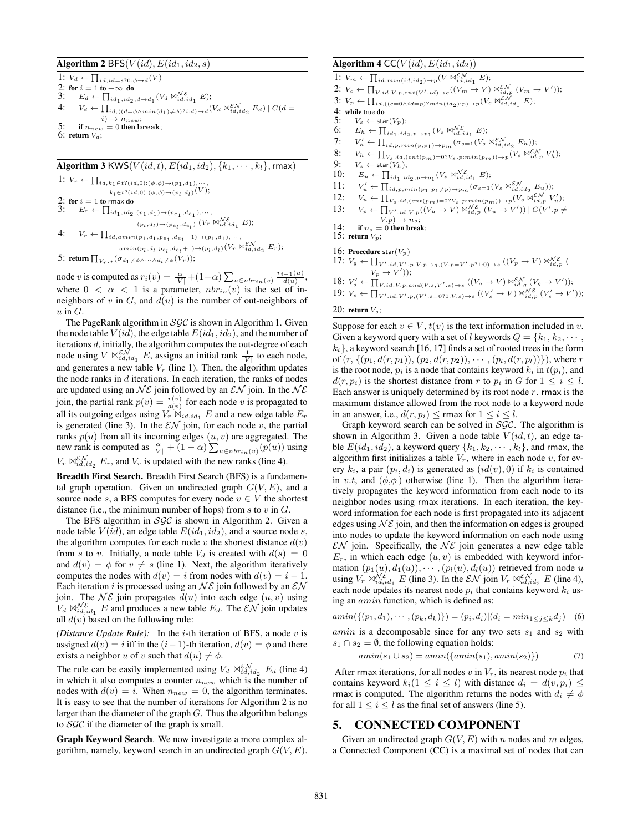#### Algorithm 2 BFS( $V(id)$ ,  $E(id_1, id_2, s)$

1:  $V_d \leftarrow \prod_{id, id = s?0: \phi \rightarrow d}(V)$ 2: for  $i = 1$  to  $+\infty$  do<br>3:  $E_d \leftarrow \prod_{i=1}^{\infty}$ 3:  $E_d \leftarrow \prod_{id_1, id_2, d \rightarrow d_1} (V_d \boxtimes_{id, id_1}^{N\mathcal{E}} E);$ 4:  $V_d \leftarrow \prod_{id,((d=\phi \wedge min(d_1)\neq \phi) ? i : d) \rightarrow d} (V_d \bowtie_{id, id_2}^{ \mathcal{EN}} E_d) \mid C(d=\phi)$  $i) \rightarrow n_{new};$ if  $n_{new} = 0$  then break; 6: return  $V_d$ ;

### Algorithm 3 KWS( $V(id, t)$ ,  $E(id_1, id_2)$ ,  $\{k_1, \cdots, k_l\}$ , rmax) 1:  $V_r \leftarrow \prod_{id, k_1 \in t?(id, 0): (\phi, \phi) \rightarrow (p_1, d_1), \cdots,$

 $k_l \in t$ ? $(id,0)$ : $(\phi, \phi) \rightarrow (p_l, d_l)$  $(V)$ ; 2: for  $i = 1$  to rmax do<br>3:  $E_r \leftarrow \prod_{i \neq j}$ 3:  $E_r \leftarrow \prod_{id_1, id_2, (p_1, d_1) \rightarrow (p_{e_1}, d_{e_1}), \cdots,$  $(p_l, d_l) \rightarrow (p_{e_l}, d_{e_l}) \left( V_r \boxtimes_{id, id_1}^{N \epsilon} E \right);$ 4:  $V_r \leftarrow \prod_{id, a \min(p_1, d_1, p_{e_1}, d_{e_1}+1) \rightarrow (p_1, d_1), \cdots,$  $amin(p_l, d_l, p_{e_l}, d_{e_l}+1) \rightarrow (p_l, d_l) (V_r \bowtie_{id, id_2}^{\varepsilon N} E_r);$ 5: return  $\prod_{V_r, *} (\sigma_{d_1 \neq \phi \wedge \cdots \wedge d_l \neq \phi}(V_r));$ 

node v is computed as  $r_i(v) = \frac{\alpha}{|V|} + (1-\alpha) \sum_{u \in n b r_{in}(v)} \frac{r_{i-1}(u)}{d(u)},$ where  $0 < \alpha < 1$  is a parameter,  $nbr_{in}(v)$  is the set of inneighbors of v in G, and  $d(u)$  is the number of out-neighbors of  $u$  in  $G$ .

The PageRank algorithm in  $SGC$  is shown in Algorithm 1. Given the node table  $V(id)$ , the edge table  $E(id_1,id_2)$ , and the number of iterations d, initially, the algorithm computes the out-degree of each node using  $V \bowtie_{id,id_1}^{\varepsilon N} E$ , assigns an initial rank  $\frac{1}{|V|}$  to each node, and generates a new table  $V_r$  (line 1). Then, the algorithm updates the node ranks in  $d$  iterations. In each iteration, the ranks of nodes are updated using an  $N\mathcal{E}$  join followed by an  $\mathcal{E}N$  join. In the  $N\mathcal{E}$ join, the partial rank  $p(v) = \frac{r(v)}{d(v)}$  for each node v is propagated to all its outgoing edges using  $V_r \bowtie_{id,id_1} E$  and a new edge table  $E_r$ is generated (line 3). In the  $\mathcal{EN}$  join, for each node v, the partial ranks  $p(u)$  from all its incoming edges  $(u, v)$  are aggregated. The new rank is computed as  $\frac{\alpha}{|V|} + (1 - \alpha) \sum_{u \in nbr_{in}(v)} (p(u))$  using  $V_r \bowtie_{id, id_2}^{\varepsilon N} E_r$ , and  $V_r$  is updated with the new ranks (line 4).

Breadth First Search. Breadth First Search (BFS) is a fundamental graph operation. Given an undirected graph  $G(V, E)$ , and a source node s, a BFS computes for every node  $v \in V$  the shortest distance (i.e., the minimum number of hops) from  $s$  to  $v$  in  $G$ .

The BFS algorithm in  $SGC$  is shown in Algorithm 2. Given a node table  $V(id)$ , an edge table  $E(id_1, id_2)$ , and a source node s, the algorithm computes for each node  $v$  the shortest distance  $d(v)$ from s to v. Initially, a node table  $V_d$  is created with  $d(s)=0$ and  $d(v) = \phi$  for  $v \neq s$  (line 1). Next, the algorithm iteratively computes the nodes with  $d(v) = i$  from nodes with  $d(v) = i - 1$ . Each iteration i is processed using an  $N\mathcal{E}$  join followed by an  $\mathcal{EN}$ join. The  $N\mathcal{E}$  join propagates  $d(u)$  into each edge  $(u, v)$  using  $V_d \bowtie_{id, id_1}^{\mathcal{NE}} E$  and produces a new table  $E_d$ . The  $\mathcal{EN}$  join updates all  $d(v)$  based on the following rule:

*(Distance Update Rule):* In the *i*-th iteration of BFS, a node  $v$  is assigned  $d(v) = i$  iff in the  $(i-1)$ -th iteration,  $d(v) = \phi$  and there exists a neighbor u of v such that  $d(u) \neq \phi$ .

The rule can be easily implemented using  $V_d \bowtie_{id,id_2}^{EN} E_d$  (line 4) in which it also computes a counter  $n_{new}$  which is the number of nodes with  $d(v) = i$ . When  $n_{new} = 0$ , the algorithm terminates. It is easy to see that the number of iterations for Algorithm 2 is no larger than the diameter of the graph  $G$ . Thus the algorithm belongs to  $SGC$  if the diameter of the graph is small.

Graph Keyword Search. We now investigate a more complex algorithm, namely, keyword search in an undirected graph  $G(V, E)$ .

#### Algorithm 4 CC( $V(id)$ ,  $E(id_1,id_2)$ )

- 1:  $V_m \leftarrow \prod_{id, min(id, id_2) \rightarrow p} (V \Join_{id, id_1}^{E,N} E);$
- 2:  $V_c \leftarrow \prod_{V.id, V.p, cnt(V'.id) \rightarrow c} ((V_m \rightarrow V) \boxtimes_{id,p}^{EV} (V_m \rightarrow V'));$
- 3:  $V_p \leftarrow \prod_{id, ((c=0 \land id=p) ? min(id_2):p) \rightarrow p} (V_c \bowtie_{id, id_1}^{ \mathcal{E} \mathcal{N}} E);$
- 4: while true do<br>5:  $V_s \leftarrow \text{sta}$
- 5:  $V_s \leftarrow \text{star}(V_p);$ <br>6:  $E_h \leftarrow \prod_{i \neq j}$
- 6:  $E_h \leftarrow \prod_{id_1, id_2, p \rightarrow p_1} (V_s \boxtimes_{id, id_1}^{\mathcal{NE}} E);$
- 7:  $V'_h \leftarrow \prod_{id,p,\min(p,p_1) \to p_m} (\sigma_{s=1}(V_s \Join_{id,id_2}^{\varepsilon N} E_h));$
- 8:  $V_h \leftarrow \prod_{V_s, id, (cnt(p_m) = 0?V_s, p: min(p_m)) \rightarrow p} (V_s \boxtimes_{id,p}^{\mathcal{EN}} V'_h);$
- 9:  $V_s \leftarrow \text{star}(V_h);$ <br>10:  $E_u \leftarrow \prod_{i \neq j}$
- 10:  $E_u \leftarrow \prod_{id_1, id_2, p \rightarrow p_1} (V_s \Join_{id, id_1}^{N\mathcal{E}} E);$
- $11:$  $u'_{u} \leftarrow \prod_{id,p,\min(p_1|p_1\neq p) \rightarrow p_m} (\sigma_{s=1}(V_s \Join_{id,id_2}^{E_{\mathcal{N}}} E_u));$
- 12:  $V_u \leftarrow \prod_{V_s.i d, (cnt(p_m)=0?V_s.p: min(p_m)) \rightarrow p} (V_s \Join_{id,p}^{E N} V_u');$
- 13:  $V_p \leftarrow \prod_{V', id, V, p} ((V_u \rightarrow V) \bowtie_{id, p}^{\mathcal{NE}} (V_u \rightarrow V')) | C(V', p \neq$  $V.p) \rightarrow n_s;$
- 14: if  $n_s = 0$  then break;
- 15: return  $V_p$ ;

16: Procedure star $(V_n)$ 

- 17:  $V_g \leftarrow \prod_{V',id, V',p, V, p \rightarrow g, (V, p=V', p?1:0) \rightarrow s} ((V_p \rightarrow V) \boxtimes_{id,p}^{N\mathcal{E}} (V_q \rightarrow V))$
- 18:  $V'_p \rightarrow V')$ );<br>18:  $V'_s \leftarrow \prod_{V.id, V.p, and (V.s, V'.s) \rightarrow s} ((V_g \rightarrow V) \Join_{id,g}^{E\mathcal{N}} (V_g \rightarrow V'))$ ;
- 19:  $V_s \leftarrow \prod_{V',id,V',p,(V',s=0?0:V,s)\to s} ((V'_s \to V) \boxtimes_{id,p}^{N\mathcal{E}} (V'_s \to V'));$

#### 20: return  $V_s$ ;

Suppose for each  $v \in V$ ,  $t(v)$  is the text information included in v. Given a keyword query with a set of l keywords  $Q = \{k_1, k_2, \cdots, k_n\}$  $k_l$ , a keyword search [16, 17] finds a set of rooted trees in the form of  $(r, \{(p_1, d(r, p_1)), (p_2, d(r, p_2)), \cdots, (p_l, d(r, p_l))\})$ , where r is the root node,  $p_i$  is a node that contains keyword  $k_i$  in  $t(p_i)$ , and  $d(r, p_i)$  is the shortest distance from r to  $p_i$  in G for  $1 \leq i \leq l$ . Each answer is uniquely determined by its root node  $r$ . rmax is the maximum distance allowed from the root node to a keyword node in an answer, i.e.,  $d(r, p_i) \leq r$  max for  $1 \leq i \leq l$ .

Graph keyword search can be solved in  $SGC$ . The algorithm is shown in Algorithm 3. Given a node table  $V(id, t)$ , an edge table  $E(id_1, id_2)$ , a keyword query  $\{k_1, k_2, \dots, k_l\}$ , and rmax, the algorithm first initializes a table  $V_r$ , where in each node  $v$ , for every  $k_i$ , a pair  $(p_i, d_i)$  is generated as  $(id(v), 0)$  if  $k_i$  is contained in v.t, and  $(\phi, \phi)$  otherwise (line 1). Then the algorithm iteratively propagates the keyword information from each node to its neighbor nodes using rmax iterations. In each iteration, the keyword information for each node is first propagated into its adjacent edges using  $N\mathcal{E}$  join, and then the information on edges is grouped into nodes to update the keyword information on each node using  $\mathcal{EN}$  join. Specifically, the  $N\mathcal{E}$  join generates a new edge table  $E_r$ , in which each edge  $(u, v)$  is embedded with keyword information  $(p_1(u), d_1(u)), \cdots, (p_l(u), d_l(u))$  retrieved from node u using  $V_r \bowtie_{id,id_1}^{\mathcal{N}\mathcal{E}} E$  (line 3). In the  $\mathcal{EN}$  join  $V_r \bowtie_{id,id_2}^{\mathcal{EN}} E$  (line 4), each node updates its nearest node  $p_i$  that contains keyword  $k_i$  using an  $amin$  function, which is defined as:

$$
amin(\{(p_1, d_1), \cdots, (p_k, d_k)\}) = (p_i, d_i)| (d_i = min_{1 \le j \le k} d_j)
$$
 (6)

*amin* is a decomposable since for any two sets  $s_1$  and  $s_2$  with  $s_1 \cap s_2 = \emptyset$ , the following equation holds:

$$
amin(s_1 \cup s_2) = amin(\{amin(s_1), amin(s_2)\})
$$
 (7)

After rmax iterations, for all nodes  $v$  in  $V_r$ , its nearest node  $p_i$  that contains keyword  $k_i(1 \leq i \leq l)$  with distance  $d_i = d(v, p_i) \leq$ rmax is computed. The algorithm returns the nodes with  $d_i \neq \phi$ for all  $1 \le i \le l$  as the final set of answers (line 5).

#### 5. CONNECTED COMPONENT

Given an undirected graph  $G(V, E)$  with n nodes and m edges, a Connected Component (CC) is a maximal set of nodes that can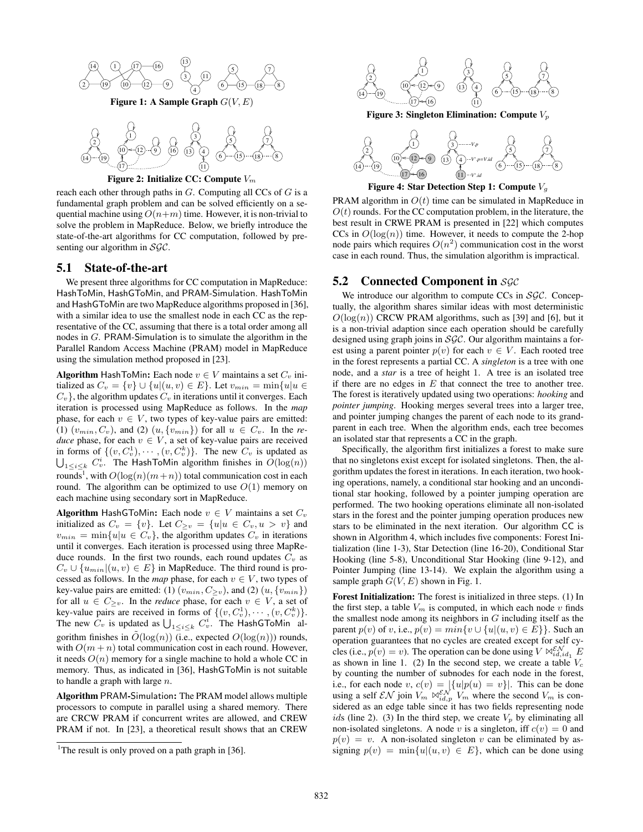



Figure 2: Initialize CC: Compute  $V_m$ 

reach each other through paths in  $G$ . Computing all CCs of  $G$  is a fundamental graph problem and can be solved efficiently on a sequential machine using  $O(n+m)$  time. However, it is non-trivial to solve the problem in MapReduce. Below, we briefly introduce the state-of-the-art algorithms for CC computation, followed by presenting our algorithm in SGC.

#### 5.1 State-of-the-art

We present three algorithms for CC computation in MapReduce: HashToMin, HashGToMin, and PRAM-Simulation. HashToMin and HashGToMin are two MapReduce algorithms proposed in [36], with a similar idea to use the smallest node in each CC as the representative of the CC, assuming that there is a total order among all nodes in G. PRAM-Simulation is to simulate the algorithm in the Parallel Random Access Machine (PRAM) model in MapReduce using the simulation method proposed in [23].

Algorithm HashToMin: Each node  $v \in V$  maintains a set  $C_v$  initialized as  $C_v = \{v\} \cup \{u|(u, v) \in E\}$ . Let  $v_{min} = \min\{u|u \in$  $C_v$ , the algorithm updates  $C_v$  in iterations until it converges. Each iteration is processed using MapReduce as follows. In the *map* phase, for each  $v \in V$ , two types of key-value pairs are emitted: (1)  $(v_{min}, C_v)$ , and (2)  $(u, \{v_{min}\})$  for all  $u \in C_v$ . In the *reduce* phase, for each  $v \in V$ , a set of key-value pairs are received in forms of  $\{(v, C_v^1), \cdots, (v, C_v^k)\}\)$ . The new  $C_v$  is updated as  $| \cdot |_{\{v, v\}} C_v^i$ . The Hash ToMin algorithm finishes in  $O(\log(n))$  $1 \leq i \leq k$   $C_v^i$ . The HashToMin algorithm finishes in  $O(\log(n))$ rounds<sup>1</sup>, with  $O(\log(n)(m+n))$  total communication cost in each round. The algorithm can be optimized to use  $O(1)$  memory on each machine using secondary sort in MapReduce.

Algorithm HashGToMin: Each node  $v \in V$  maintains a set  $C_v$ initialized as  $C_v = \{v\}$ . Let  $C_{\geq v} = \{u | u \in C_v, u > v\}$  and  $v_{min} = \min\{u|u \in C_v\}$ , the algorithm updates  $C_v$  in iterations until it converges. Each iteration is processed using three MapReduce rounds. In the first two rounds, each round updates  $C_v$  as  $C_v \cup \{u_{min} | (u, v) \in E\}$  in MapReduce. The third round is processed as follows. In the *map* phase, for each  $v \in V$ , two types of key-value pairs are emitted: (1)  $(v_{min}, C_{>v})$ , and (2)  $(u, \{v_{min}\})$ for all  $u \in C_{\geq v}$ . In the *reduce* phase, for each  $v \in V$ , a set of key-value pairs are received in forms of  $\{(v, C_v^1), \cdots, (v, C_v^k)\}.$ The new  $C_v$  is updated as  $\bigcup_{1 \leq i \leq k} C_v^i$ . The HashGToMin algorithm finishes in  $\tilde{O}(\log(n))$  (i.e., expected  $O(\log(n))$ ) rounds, with  $O(m + n)$  total communication cost in each round. However, it needs  $O(n)$  memory for a single machine to hold a whole CC in memory. Thus, as indicated in [36], HashGToMin is not suitable to handle a graph with large  $n$ .

Algorithm PRAM-Simulation: The PRAM model allows multiple processors to compute in parallel using a shared memory. There are CRCW PRAM if concurrent writes are allowed, and CREW PRAM if not. In [23], a theoretical result shows that an CREW



Figure 3: Singleton Elimination: Compute  $V_p$ 



Figure 4: Star Detection Step 1: Compute  $V_g$ 

PRAM algorithm in  $O(t)$  time can be simulated in MapReduce in  $O(t)$  rounds. For the CC computation problem, in the literature, the best result in CRWE PRAM is presented in [22] which computes CCs in  $O(log(n))$  time. However, it needs to compute the 2-hop node pairs which requires  $O(n^2)$  communication cost in the worst case in each round. Thus, the simulation algorithm is impractical.

#### 5.2 Connected Component in *SGC*

We introduce our algorithm to compute CCs in  $SGC$ . Conceptually, the algorithm shares similar ideas with most deterministic  $O(log(n))$  CRCW PRAM algorithms, such as [39] and [6], but it is a non-trivial adaption since each operation should be carefully designed using graph joins in SGC. Our algorithm maintains a forest using a parent pointer  $p(v)$  for each  $v \in V$ . Each rooted tree in the forest represents a partial CC. A *singleton* is a tree with one node, and a *star* is a tree of height 1. A tree is an isolated tree if there are no edges in  $E$  that connect the tree to another tree. The forest is iteratively updated using two operations: *hooking* and *pointer jumping*. Hooking merges several trees into a larger tree, and pointer jumping changes the parent of each node to its grandparent in each tree. When the algorithm ends, each tree becomes an isolated star that represents a CC in the graph.

Specifically, the algorithm first initializes a forest to make sure that no singletons exist except for isolated singletons. Then, the algorithm updates the forest in iterations. In each iteration, two hooking operations, namely, a conditional star hooking and an unconditional star hooking, followed by a pointer jumping operation are performed. The two hooking operations eliminate all non-isolated stars in the forest and the pointer jumping operation produces new stars to be eliminated in the next iteration. Our algorithm CC is shown in Algorithm 4, which includes five components: Forest Initialization (line 1-3), Star Detection (line 16-20), Conditional Star Hooking (line 5-8), Unconditional Star Hooking (line 9-12), and Pointer Jumping (line 13-14). We explain the algorithm using a sample graph  $G(V, E)$  shown in Fig. 1.

Forest Initialization: The forest is initialized in three steps. (1) In the first step, a table  $V_m$  is computed, in which each node  $v$  finds the smallest node among its neighbors in  $G$  including itself as the parent  $p(v)$  of v, i.e.,  $p(v) = min\{v \cup \{u | (u, v) \in E\}\}\)$ . Such an operation guarantees that no cycles are created except for self cycles (i.e.,  $p(v) = v$ ). The operation can be done using  $V \bowtie_{id, id_1}^{\varepsilon N} E$ as shown in line 1. (2) In the second step, we create a table  $V_c$ by counting the number of subnodes for each node in the forest, i.e., for each node v,  $c(v) = \frac{1}{2} \{u|p(u) = v\}$ . This can be done using a self  $\mathcal{EN}$  join  $V_m \bowtie_{id,p}^{\mathcal{EN}} V_m$  where the second  $V_m$  is considered as an edge table since it has two fields representing node ids (line 2). (3) In the third step, we create  $V_p$  by eliminating all non-isolated singletons. A node v is a singleton, iff  $c(v)=0$  and  $p(v) = v$ . A non-isolated singleton v can be eliminated by assigning  $p(v) = \min\{u | (u, v) \in E\}$ , which can be done using

<sup>&</sup>lt;sup>1</sup>The result is only proved on a path graph in [36].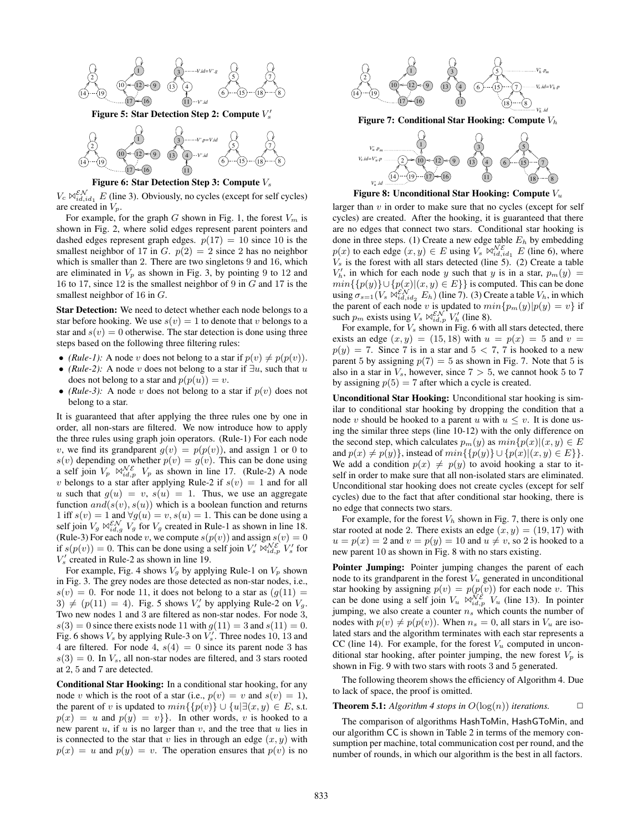



Figure 6: Star Detection Step 3: Compute  $V_s$ 

 $V_c \Join_{id, id_1}^{E N} E$  (line 3). Obviously, no cycles (except for self cycles) are created in  $V_p$ .

For example, for the graph G shown in Fig. 1, the forest  $V_m$  is shown in Fig. 2, where solid edges represent parent pointers and dashed edges represent graph edges.  $p(17) = 10$  since 10 is the smallest neighbor of 17 in G.  $p(2) = 2$  since 2 has no neighbor which is smaller than 2. There are two singletons 9 and 16, which are eliminated in  $V_p$  as shown in Fig. 3, by pointing 9 to 12 and 16 to 17, since 12 is the smallest neighbor of 9 in G and 17 is the smallest neighbor of 16 in  $G$ .

Star Detection: We need to detect whether each node belongs to a star before hooking. We use  $s(v)=1$  to denote that v belongs to a star and  $s(v)=0$  otherwise. The star detection is done using three steps based on the following three filtering rules:

- *(Rule-1)*: A node v does not belong to a star if  $p(v) \neq p(p(v))$ .
- *(Rule-2):* A node v does not belong to a star if  $\exists u$ , such that u does not belong to a star and  $p(p(u)) = v$ .
- *(Rule-3)*: A node v does not belong to a star if  $p(v)$  does not belong to a star.

It is guaranteed that after applying the three rules one by one in order, all non-stars are filtered. We now introduce how to apply the three rules using graph join operators. (Rule-1) For each node v, we find its grandparent  $g(v) = p(p(v))$ , and assign 1 or 0 to  $s(v)$  depending on whether  $p(v) = g(v)$ . This can be done using a self join  $V_p \bowtie_{id,p}^{\mathcal{N}\mathcal{E}} V_p$  as shown in line 17. (Rule-2) A node v belongs to a star after applying Rule-2 if  $s(v)=1$  and for all u such that  $q(u) = v$ ,  $s(u) = 1$ . Thus, we use an aggregate function  $and(s(v), s(u))$  which is a boolean function and returns 1 iff  $s(v)=1$  and  $\forall q(u) = v, s(u)=1$ . This can be done using a self join  $V_g \bowtie_{id,g}^{EN} V_g$  for  $V_g$  created in Rule-1 as shown in line 18. (Rule-3) For each node v, we compute  $s(p(v))$  and assign  $s(v)=0$ if  $s(p(v)) = 0$ . This can be done using a self join  $V_s' \bowtie_{id,p}^{\mathcal{NE}} V_s'$  for  $V_s'$  created in Rule-2 as shown in line 19.

For example, Fig. 4 shows  $V_g$  by applying Rule-1 on  $V_p$  shown in Fig. 3. The grey nodes are those detected as non-star nodes, i.e.,  $s(v)=0$ . For node 11, it does not belong to a star as  $(g(11)) =$  $3) \neq (p(11) = 4)$ . Fig. 5 shows  $V'_s$  by applying Rule-2 on  $V_g$ . Two new nodes 1 and 3 are filtered as non-star nodes. For node 3,  $s(3) = 0$  since there exists node 11 with  $g(11) = 3$  and  $s(11) = 0$ . Fig. 6 shows  $V_s$  by applying Rule-3 on  $V'_s$ . Three nodes 10, 13 and 4 are filtered. For node 4,  $s(4) = 0$  since its parent node 3 has  $s(3) = 0$ . In  $V_s$ , all non-star nodes are filtered, and 3 stars rooted at 2, 5 and 7 are detected.

Conditional Star Hooking: In a conditional star hooking, for any node v which is the root of a star (i.e.,  $p(v) = v$  and  $s(v) = 1$ ), the parent of v is updated to  $min({p(v)} \cup {u|\exists (x, y) \in E, s.t.})$  $p(x) = u$  and  $p(y) = v$ }. In other words, v is hooked to a new parent  $u$ , if  $u$  is no larger than  $v$ , and the tree that  $u$  lies in is connected to the star that v lies in through an edge  $(x, y)$  with  $p(x) = u$  and  $p(y) = v$ . The operation ensures that  $p(v)$  is no



Figure 7: Conditional Star Hooking: Compute V<sup>h</sup>



Figure 8: Unconditional Star Hooking: Compute  $V_u$ 

larger than  $v$  in order to make sure that no cycles (except for self cycles) are created. After the hooking, it is guaranteed that there are no edges that connect two stars. Conditional star hooking is done in three steps. (1) Create a new edge table  $E<sub>h</sub>$  by embedding  $p(x)$  to each edge  $(x, y) \in E$  using  $V_s \bowtie_{id, id_1}^{N \varepsilon} E$  (line 6), where  $V<sub>s</sub>$  is the forest with all stars detected (line 5). (2) Create a table  $V'_{h}$ , in which for each node y such that y is in a star,  $p_{m}(y) =$  $min({p(y)} \cup {p(x)| (x, y) \in E}$  is computed. This can be done using  $\sigma_{s=1}(V_s \Join_{id, id_2}^{EN} E_h)$  (line 7). (3) Create a table  $V_h$ , in which the parent of each node v is updated to  $min\{p_m(y)|p(y) = v\}$  if such  $p_m$  exists using  $V_s \bowtie_{id,p}^{\varepsilon N} V'_h$  (line 8).

For example, for  $V_s$  shown in Fig. 6 with all stars detected, there exists an edge  $(x, y) = (15, 18)$  with  $u = p(x) = 5$  and  $v =$  $p(y)=7$ . Since 7 is in a star and  $5 < 7$ , 7 is hooked to a new parent 5 by assigning  $p(7) = 5$  as shown in Fig. 7. Note that 5 is also in a star in  $V_s$ , however, since  $7 > 5$ , we cannot hook 5 to 7 by assigning  $p(5) = 7$  after which a cycle is created.

Unconditional Star Hooking: Unconditional star hooking is similar to conditional star hooking by dropping the condition that a node v should be hooked to a parent u with  $u \leq v$ . It is done using the similar three steps (line 10-12) with the only difference on the second step, which calculates  $p_m(y)$  as  $min\{p(x)|(x, y) \in E\}$ and  $p(x) \neq p(y)$ , instead of  $min\{\{p(y)\}\cup\{p(x)|(x, y) \in E\}\}.$ We add a condition  $p(x) \neq p(y)$  to avoid hooking a star to itself in order to make sure that all non-isolated stars are eliminated. Unconditional star hooking does not create cycles (except for self cycles) due to the fact that after conditional star hooking, there is no edge that connects two stars.

For example, for the forest  $V<sub>h</sub>$  shown in Fig. 7, there is only one star rooted at node 2. There exists an edge  $(x, y) = (19, 17)$  with  $u = p(x) = 2$  and  $v = p(y) = 10$  and  $u \neq v$ , so 2 is hooked to a new parent 10 as shown in Fig. 8 with no stars existing.

Pointer Jumping: Pointer jumping changes the parent of each node to its grandparent in the forest  $V_u$  generated in unconditional star hooking by assigning  $p(v) = p(p(v))$  for each node v. This can be done using a self join  $V_u \Join_{id,p}^{\mathcal{NE}} V_u$  (line 13). In pointer jumping, we also create a counter  $n<sub>s</sub>$  which counts the number of nodes with  $p(v) \neq p(p(v))$ . When  $n_s = 0$ , all stars in  $V_u$  are isolated stars and the algorithm terminates with each star represents a CC (line 14). For example, for the forest  $V_u$  computed in unconditional star hooking, after pointer jumping, the new forest  $V_p$  is shown in Fig. 9 with two stars with roots 3 and 5 generated.

The following theorem shows the efficiency of Algorithm 4. Due to lack of space, the proof is omitted.

**Theorem 5.1:** *Algorithm 4 stops in*  $O(log(n))$  *iterations.*  $\Box$ 

The comparison of algorithms HashToMin, HashGToMin, and our algorithm CC is shown in Table 2 in terms of the memory consumption per machine, total communication cost per round, and the number of rounds, in which our algorithm is the best in all factors.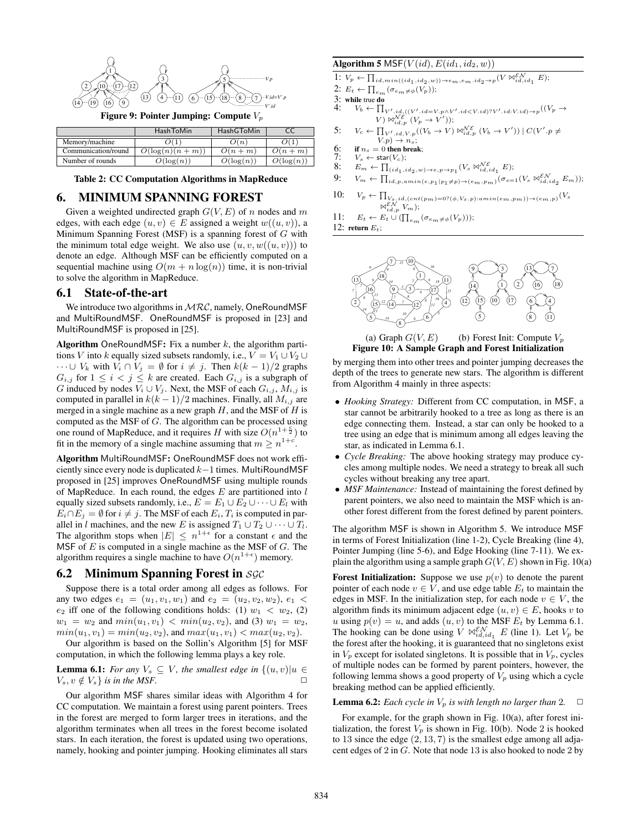

|                     | <b>HashToMin</b>  | <b>HashGToMin</b> |              |
|---------------------|-------------------|-------------------|--------------|
| Memory/machine      |                   | $\Omega(n)$       |              |
| Communication/round | $O(\log(n)(n+m))$ | $O(n+m)$          | $O(n+m)$     |
| Number of rounds    | $O(\log(n))$      | $O(\log(n))$      | $O(\log(n))$ |

#### Table 2: CC Computation Algorithms in MapReduce

### 6. MINIMUM SPANNING FOREST

Given a weighted undirected graph  $G(V, E)$  of n nodes and m edges, with each edge  $(u, v) \in E$  assigned a weight  $w((u, v))$ , a Minimum Spanning Forest (MSF) is a spanning forest of  $G$  with the minimum total edge weight. We also use  $(u, v, w((u, v)))$  to denote an edge. Although MSF can be efficiently computed on a sequential machine using  $O(m + n \log(n))$  time, it is non-trivial to solve the algorithm in MapReduce.

#### 6.1 State-of-the-art

We introduce two algorithms in  $MRC$ , namely, OneRoundMSF and MultiRoundMSF. OneRoundMSF is proposed in [23] and MultiRoundMSF is proposed in [25].

Algorithm OneRoundMSF: Fix a number  $k$ , the algorithm partitions V into k equally sized subsets randomly, i.e.,  $V = V_1 \cup V_2 \cup V_3$  $\cdots$  ∪  $V_k$  with  $V_i \cap V_j = \emptyset$  for  $i \neq j$ . Then  $k(k-1)/2$  graphs  $G_{i,j}$  for  $1 \leq i < j \leq k$  are created. Each  $G_{i,j}$  is a subgraph of G induced by nodes  $V_i \cup V_j$ . Next, the MSF of each  $G_{i,j}$ ,  $M_{i,j}$  is computed in parallel in  $k(k-1)/2$  machines. Finally, all  $M_{i,j}$  are merged in a single machine as a new graph  $H$ , and the MSF of  $H$  is computed as the MSF of G. The algorithm can be processed using one round of MapReduce, and it requires H with size  $O(n^{1+\frac{c}{2}})$  to fit in the memory of a single machine assuming that  $m \geq n^{1+c}$ .

Algorithm MultiRoundMSF: OneRoundMSF does not work efficiently since every node is duplicated k−1 times. MultiRoundMSF proposed in [25] improves OneRoundMSF using multiple rounds of MapReduce. In each round, the edges  $E$  are partitioned into  $l$ equally sized subsets randomly, i.e.,  $E = E_1 \cup E_2 \cup \cdots \cup E_l$  with  $E_i \cap E_j = \emptyset$  for  $i \neq j$ . The MSF of each  $E_i$ ,  $T_i$  is computed in parallel in l machines, and the new E is assigned  $T_1 \cup T_2 \cup \cdots \cup T_l$ . The algorithm stops when  $|E| \leq n^{1+\epsilon}$  for a constant  $\epsilon$  and the MSF of  $E$  is computed in a single machine as the MSF of  $G$ . The algorithm requires a single machine to have  $O(n^{1+\epsilon})$  memory.

#### 6.2 Minimum Spanning Forest in  $SGC$

Suppose there is a total order among all edges as follows. For any two edges  $e_1 = (u_1, v_1, w_1)$  and  $e_2 = (u_2, v_2, w_2), e_1 <$  $e_2$  iff one of the following conditions holds: (1)  $w_1 < w_2$ , (2)  $w_1 = w_2$  and  $min(u_1, v_1) < min(u_2, v_2)$ , and (3)  $w_1 = w_2$ ,  $min(u_1, v_1) = min(u_2, v_2)$ , and  $max(u_1, v_1) < max(u_2, v_2)$ . Our algorithm is based on the Sollin's Algorithm [5] for MSF

computation, in which the following lemma plays a key role.

**Lemma 6.1:** *For any*  $V_s \subseteq V$ *, the smallest edge in*  $\{(u, v)|u \in V, u \notin V\}$  *is in the MSF*  $V_s, v \notin V_s$  *is in the MSF.* 

Our algorithm MSF shares similar ideas with Algorithm 4 for CC computation. We maintain a forest using parent pointers. Trees in the forest are merged to form larger trees in iterations, and the algorithm terminates when all trees in the forest become isolated stars. In each iteration, the forest is updated using two operations, namely, hooking and pointer jumping. Hooking eliminates all stars

### Algorithm 5 MSF( $V(id)$ ,  $E(id_1, id_2, w)$ )

1:  $V_p \leftarrow \prod_{id, min((id_1, id_2, w)) \rightarrow e_m, e_m, id_2 \rightarrow p} (V \boxtimes_{id, id_1}^{\mathcal{EN}} E);$ 

- 2:  $E_t \leftarrow \prod_{e_m} (\sigma_{e_m \neq \phi}(V_p));$
- 3: while true do<br>4:  $V_b \leftarrow \prod$
- 4:  $V_b \leftarrow \prod_{V',id} (V', id = V.p \wedge V', id < V.id) ? V', id : V.id) \rightarrow p} ((V_p \rightarrow V', id) ? V', id : V.id)$  $V$ )  $\mathbb{W}_{id,p}^{\mathcal{N}\mathcal{E}}$   $(V_p \rightarrow V')$ );

5: 
$$
V_c \leftarrow \prod_{V',id, V, p} ((V_b \rightarrow V) \bowtie_{id, p}^{\mathcal{NE}} (V_b \rightarrow V')) \mid C(V', p \neq V, p) \rightarrow n_s;
$$

- $V(p) \rightarrow n_s;$ <br>6: if  $n_s = 0$  then break; 6: if  $n_s = 0$  then b<br>7:  $V_s \leftarrow \text{star}(V_c);$ <br>8:  $E_m \leftarrow \prod_{(s,d_s)}$
- 
- 8:  $E_m \leftarrow \prod_{(id_1, id_2, w) \rightarrow e, p \rightarrow p_1} (V_s \boxtimes_{id, id_1}^{\mathcal{NE}} E);$
- 9:  $V_m \leftarrow \prod_{id,p, amin(e, p_1|p_1 \neq p) \rightarrow (e_m, p_m)} (\sigma_{s=1}(V_s \Join_{id, id_2}^{\mathcal{EN}} E_m));$
- 10:  $V_p \leftarrow \prod_{V_s, id, (cnt(p_m)=0?(\phi, V_s. p): amin(e_m, p_m)) \rightarrow (e_m, p)} (V_s)$  $\bowtie_{id,p}^{\varepsilon,\mathcal{N}} V_m$ ;
- 11:  $E_t \leftarrow E_t \cup (\prod_{e_m} (\sigma_{e_m \neq \phi}(V_p)))$ ;

12: return  $E_t$ :





by merging them into other trees and pointer jumping decreases the depth of the trees to generate new stars. The algorithm is different from Algorithm 4 mainly in three aspects:

- *Hooking Strategy:* Different from CC computation, in MSF, a star cannot be arbitrarily hooked to a tree as long as there is an edge connecting them. Instead, a star can only be hooked to a tree using an edge that is minimum among all edges leaving the star, as indicated in Lemma 6.1.
- *Cycle Breaking:* The above hooking strategy may produce cycles among multiple nodes. We need a strategy to break all such cycles without breaking any tree apart.
- *MSF Maintenance:* Instead of maintaining the forest defined by parent pointers, we also need to maintain the MSF which is another forest different from the forest defined by parent pointers.

The algorithm MSF is shown in Algorithm 5. We introduce MSF in terms of Forest Initialization (line 1-2), Cycle Breaking (line 4), Pointer Jumping (line 5-6), and Edge Hooking (line 7-11). We explain the algorithm using a sample graph  $G(V, E)$  shown in Fig. 10(a)

Forest Initialization: Suppose we use  $p(v)$  to denote the parent pointer of each node  $v \in V$ , and use edge table  $E_t$  to maintain the edges in MSF. In the initialization step, for each node  $v \in V$ , the algorithm finds its minimum adjacent edge  $(u, v) \in E$ , hooks v to u using  $p(v) = u$ , and adds  $(u, v)$  to the MSF  $E_t$  by Lemma 6.1. The hooking can be done using  $V \bowtie_{id, id_1}^{E N} E$  (line 1). Let  $V_p$  be the forest after the hooking, it is guaranteed that no singletons exist in  $V_p$  except for isolated singletons. It is possible that in  $V_p$ , cycles of multiple nodes can be formed by parent pointers, however, the following lemma shows a good property of  $V_p$  using which a cycle breaking method can be applied efficiently.

**Lemma 6.2:** *Each cycle in*  $V_p$  *is with length no larger than* 2.  $\Box$ 

For example, for the graph shown in Fig. 10(a), after forest initialization, the forest  $V_p$  is shown in Fig. 10(b). Node 2 is hooked to 13 since the edge  $(2, 13, 7)$  is the smallest edge among all adjacent edges of 2 in G. Note that node 13 is also hooked to node 2 by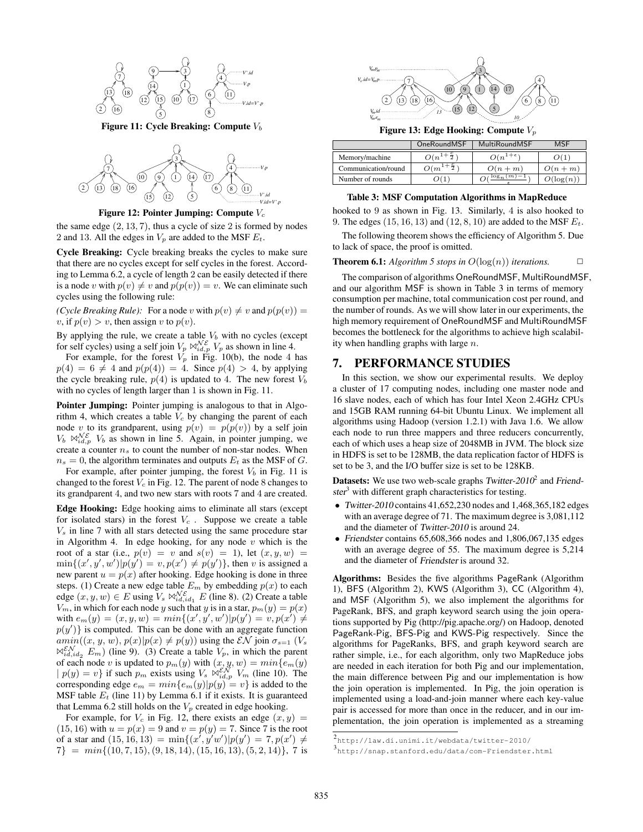

Figure 11: Cycle Breaking: Compute  $V_b$ 



Figure 12: Pointer Jumping: Compute  $V_c$ 

the same edge  $(2, 13, 7)$ , thus a cycle of size 2 is formed by nodes 2 and 13. All the edges in  $V_p$  are added to the MSF  $E_t$ .

Cycle Breaking: Cycle breaking breaks the cycles to make sure that there are no cycles except for self cycles in the forest. According to Lemma 6.2, a cycle of length 2 can be easily detected if there is a node v with  $p(v) \neq v$  and  $p(p(v)) = v$ . We can eliminate such cycles using the following rule:

*(Cycle Breaking Rule)*: For a node v with  $p(v) \neq v$  and  $p(p(v)) =$ v, if  $p(v) > v$ , then assign v to  $p(v)$ .

By applying the rule, we create a table  $V<sub>b</sub>$  with no cycles (except for self cycles) using a self join  $V_p \bowtie_{id,p}^{\mathcal{N}\mathcal{E}} V_p$  as shown in line 4.

For example, for the forest  $V_p$  in Fig. 10(b), the node 4 has  $p(4) = 6 \neq 4$  and  $p(p(4)) = 4$ . Since  $p(4) > 4$ , by applying the cycle breaking rule,  $p(4)$  is updated to 4. The new forest  $V_b$ with no cycles of length larger than 1 is shown in Fig. 11.

**Pointer Jumping:** Pointer jumping is analogous to that in Algorithm 4, which creates a table  $V_c$  by changing the parent of each node v to its grandparent, using  $p(v) = p(p(v))$  by a self join  $V_b \bowtie_{id,p}^{\mathcal{N}\mathcal{E}} V_b$  as shown in line 5. Again, in pointer jumping, we create a counter  $n<sub>s</sub>$  to count the number of non-star nodes. When  $n<sub>s</sub> = 0$ , the algorithm terminates and outputs  $E<sub>t</sub>$  as the MSF of G.

For example, after pointer jumping, the forest  $V_b$  in Fig. 11 is changed to the forest  $V_c$  in Fig. 12. The parent of node 8 changes to its grandparent 4, and two new stars with roots 7 and 4 are created.

Edge Hooking: Edge hooking aims to eliminate all stars (except for isolated stars) in the forest  $V_c$ . Suppose we create a table  $V<sub>s</sub>$  in line 7 with all stars detected using the same procedure star in Algorithm 4. In edge hooking, for any node  $v$  which is the root of a star (i.e.,  $p(v) = v$  and  $s(v) = 1$ ), let  $(x, y, w) =$  $\min\{(x', y', w')|p(y') = v, p(x') \neq p(y')\}$ , then v is assigned a new parent  $u = p(x)$  after hooking. Edge hooking is done in three steps. (1) Create a new edge table  $E_m$  by embedding  $p(x)$  to each edge  $(x, y, w) \in E$  using  $V_s \bowtie_{id, id_1}^{\mathcal{NE}} E$  (line 8). (2) Create a table  $V_m$ , in which for each node y such that y is in a star,  $p_m(y) = p(x)$ with  $e_m(y) = (x, y, w) = min{ (x', y', w') | p(y') = v, p(x') \neq 0}$  $p(y')$  is computed. This can be done with an aggregate function  $amin((x, y, w), p(x)|p(x) \neq p(y))$  using the  $\mathcal{EN}$  join  $\sigma_{s=1}$   $(V_s)$  $\mathbb{N}_{id,id_2}^{\varepsilon N} E_m$ ) (line 9). (3) Create a table  $V_p$ , in which the parent of each node v is updated to  $p_m(y)$  with  $(x, y, w) = min\{e_m(y)$  $| p(y) = v \}$  if such  $p_m$  exists using  $V_s \Join_{id,p}^{E,N} V_m$  (line 10). The corresponding edge  $e_m = min\{e_m(y)|p(y) = v\}$  is added to the MSF table  $E_t$  (line 11) by Lemma 6.1 if it exists. It is guaranteed that Lemma 6.2 still holds on the  $V_p$  created in edge hooking.

For example, for  $V_c$  in Fig. 12, there exists an edge  $(x, y)$  =  $(15, 16)$  with  $u = p(x) = 9$  and  $v = p(y) = 7$ . Since 7 is the root of a star and  $(15, 16, 13) = \min\{(x', y'w')|p(y') = 7, p(x') \neq 0\}$  $7\} = min\{(10, 7, 15), (9, 18, 14), (15, 16, 13), (5, 2, 14)\},$  7 is



Figure 13: Edge Hooking: Compute  $V_n$ 

|                     | <b>OneRoundMSF</b> | <b>MultiRoundMSF</b> | MSF          |
|---------------------|--------------------|----------------------|--------------|
| Memory/machine      | $O(n^+$            | $O(n^{1+\epsilon})$  |              |
| Communication/round | $O(m^2)$           | $O(n+m)$             | $O(n+m)$     |
| Number of rounds    | 2CT                | $\log_n(m)$          | $O(\log(n))$ |

#### Table 3: MSF Computation Algorithms in MapReduce

hooked to 9 as shown in Fig. 13. Similarly, 4 is also hooked to 9. The edges  $(15, 16, 13)$  and  $(12, 8, 10)$  are added to the MSF  $E_t$ .

The following theorem shows the efficiency of Algorithm 5. Due to lack of space, the proof is omitted.

#### **Theorem 6.1:** *Algorithm 5 stops in*  $O(log(n))$  *iterations.*  $\Box$

The comparison of algorithms OneRoundMSF, MultiRoundMSF, and our algorithm MSF is shown in Table 3 in terms of memory consumption per machine, total communication cost per round, and the number of rounds. As we will show later in our experiments, the high memory requirement of OneRoundMSF and MultiRoundMSF becomes the bottleneck for the algorithms to achieve high scalability when handling graphs with large  $n$ .

### 7. PERFORMANCE STUDIES

In this section, we show our experimental results. We deploy a cluster of 17 computing nodes, including one master node and 16 slave nodes, each of which has four Intel Xeon 2.4GHz CPUs and 15GB RAM running 64-bit Ubuntu Linux. We implement all algorithms using Hadoop (version 1.2.1) with Java 1.6. We allow each node to run three mappers and three reducers concurrently, each of which uses a heap size of 2048MB in JVM. The block size in HDFS is set to be 128MB, the data replication factor of HDFS is set to be 3, and the I/O buffer size is set to be 128KB.

**Datasets:** We use two web-scale graphs Twitter-2010<sup>2</sup> and Friendster<sup>3</sup> with different graph characteristics for testing.

- Twitter-2010 contains 41,652,230 nodes and 1,468,365,182 edges with an average degree of 71. The maximum degree is 3,081,112 and the diameter of Twitter-2010 is around 24.
- Friendster contains 65,608,366 nodes and 1,806,067,135 edges with an average degree of 55. The maximum degree is 5,214 and the diameter of Friendster is around 32.

Algorithms: Besides the five algorithms PageRank (Algorithm 1), BFS (Algorithm 2), KWS (Algorithm 3), CC (Algorithm 4), and MSF (Algorithm 5), we also implement the algorithms for PageRank, BFS, and graph keyword search using the join operations supported by Pig (http://pig.apache.org/) on Hadoop, denoted PageRank-Pig, BFS-Pig and KWS-Pig respectively. Since the algorithms for PageRanks, BFS, and graph keyword search are rather simple, i.e., for each algorithm, only two MapReduce jobs are needed in each iteration for both Pig and our implementation, the main difference between Pig and our implementation is how the join operation is implemented. In Pig, the join operation is implemented using a load-and-join manner where each key-value pair is accessed for more than once in the reducer, and in our implementation, the join operation is implemented as a streaming

<sup>2</sup> http://law.di.unimi.it/webdata/twitter-2010/

<sup>3</sup> http://snap.stanford.edu/data/com-Friendster.html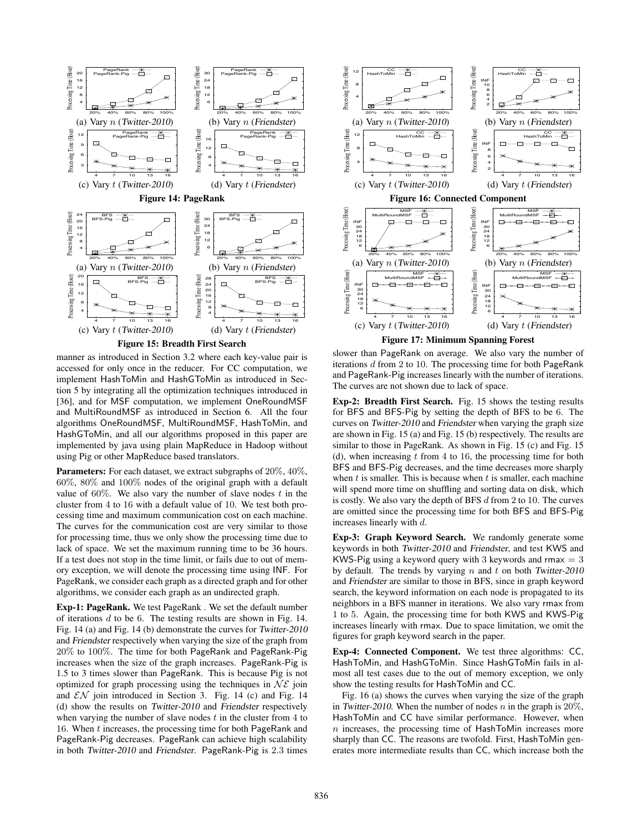

manner as introduced in Section 3.2 where each key-value pair is accessed for only once in the reducer. For CC computation, we implement HashToMin and HashGToMin as introduced in Section 5 by integrating all the optimization techniques introduced in [36], and for MSF computation, we implement OneRoundMSF and MultiRoundMSF as introduced in Section 6. All the four algorithms OneRoundMSF, MultiRoundMSF, HashToMin, and HashGToMin, and all our algorithms proposed in this paper are implemented by java using plain MapReduce in Hadoop without using Pig or other MapReduce based translators.

**Parameters:** For each dataset, we extract subgraphs of 20%, 40%, 60%, 80% and 100% nodes of the original graph with a default value of  $60\%$ . We also vary the number of slave nodes t in the cluster from 4 to 16 with a default value of 10. We test both processing time and maximum communication cost on each machine. The curves for the communication cost are very similar to those for processing time, thus we only show the processing time due to lack of space. We set the maximum running time to be 36 hours. If a test does not stop in the time limit, or fails due to out of memory exception, we will denote the processing time using INF. For PageRank, we consider each graph as a directed graph and for other algorithms, we consider each graph as an undirected graph.

Exp-1: PageRank. We test PageRank . We set the default number of iterations  $d$  to be 6. The testing results are shown in Fig. 14. Fig. 14 (a) and Fig. 14 (b) demonstrate the curves for Twitter-2010 and Friendster respectively when varying the size of the graph from 20% to 100%. The time for both PageRank and PageRank-Pig increases when the size of the graph increases. PageRank-Pig is 1.5 to 3 times slower than PageRank. This is because Pig is not optimized for graph processing using the techniques in  $N\mathcal{E}$  join and  $\mathcal{EN}$  join introduced in Section 3. Fig. 14 (c) and Fig. 14 (d) show the results on Twitter-2010 and Friendster respectively when varying the number of slave nodes  $t$  in the cluster from  $4$  to 16. When t increases, the processing time for both PageRank and PageRank-Pig decreases. PageRank can achieve high scalability in both Twitter-2010 and Friendster. PageRank-Pig is 2.3 times



slower than PageRank on average. We also vary the number of iterations  $d$  from 2 to 10. The processing time for both PageRank and PageRank-Pig increases linearly with the number of iterations. The curves are not shown due to lack of space.

Exp-2: Breadth First Search. Fig. 15 shows the testing results for BFS and BFS-Pig by setting the depth of BFS to be 6. The curves on Twitter-2010 and Friendster when varying the graph size are shown in Fig. 15 (a) and Fig. 15 (b) respectively. The results are similar to those in PageRank. As shown in Fig. 15 (c) and Fig. 15 (d), when increasing  $t$  from 4 to 16, the processing time for both BFS and BFS-Pig decreases, and the time decreases more sharply when  $t$  is smaller. This is because when  $t$  is smaller, each machine will spend more time on shuffling and sorting data on disk, which is costly. We also vary the depth of BFS  $d$  from 2 to 10. The curves are omitted since the processing time for both BFS and BFS-Pig increases linearly with d.

Exp-3: Graph Keyword Search. We randomly generate some keywords in both Twitter-2010 and Friendster, and test KWS and KWS-Pig using a keyword query with 3 keywords and rmax  $= 3$ by default. The trends by varying  $n$  and  $t$  on both Twitter-2010 and Friendster are similar to those in BFS, since in graph keyword search, the keyword information on each node is propagated to its neighbors in a BFS manner in iterations. We also vary rmax from 1 to 5. Again, the processing time for both KWS and KWS-Pig increases linearly with rmax. Due to space limitation, we omit the figures for graph keyword search in the paper.

Exp-4: Connected Component. We test three algorithms: CC, HashToMin, and HashGToMin. Since HashGToMin fails in almost all test cases due to the out of memory exception, we only show the testing results for HashToMin and CC.

Fig. 16 (a) shows the curves when varying the size of the graph in Twitter-2010. When the number of nodes n in the graph is  $20\%$ , HashToMin and CC have similar performance. However, when  $n$  increases, the processing time of HashToMin increases more sharply than CC. The reasons are twofold. First, HashToMin generates more intermediate results than CC, which increase both the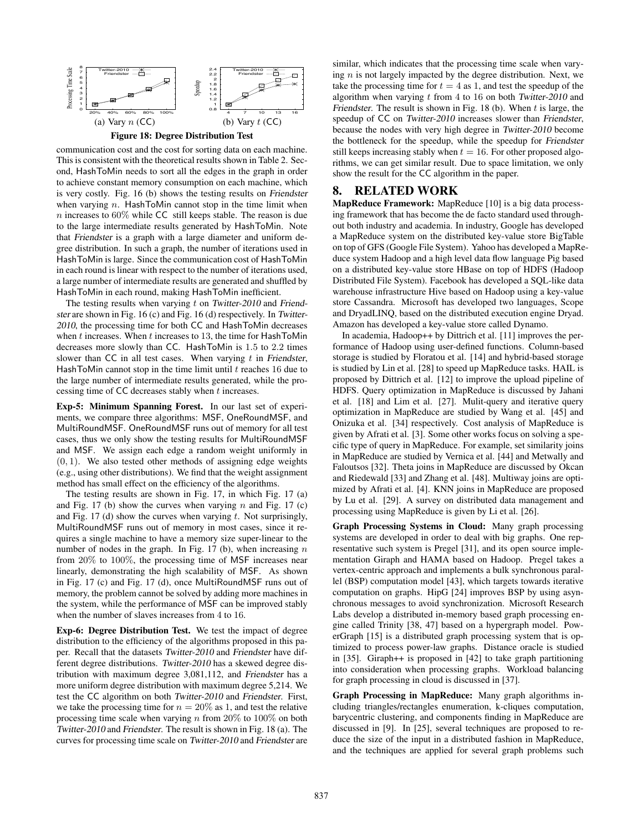

communication cost and the cost for sorting data on each machine. This is consistent with the theoretical results shown in Table 2. Second, HashToMin needs to sort all the edges in the graph in order to achieve constant memory consumption on each machine, which is very costly. Fig. 16 (b) shows the testing results on Friendster when varying  $n$ . HashToMin cannot stop in the time limit when  $n$  increases to 60% while CC still keeps stable. The reason is due to the large intermediate results generated by HashToMin. Note that Friendster is a graph with a large diameter and uniform degree distribution. In such a graph, the number of iterations used in HashToMin is large. Since the communication cost of HashToMin in each round is linear with respect to the number of iterations used, a large number of intermediate results are generated and shuffled by HashToMin in each round, making HashToMin inefficient.

The testing results when varying  $t$  on Twitter-2010 and Friendster are shown in Fig. 16 (c) and Fig. 16 (d) respectively. In Twitter-<sup>2010</sup>, the processing time for both CC and HashToMin decreases when  $t$  increases. When  $t$  increases to 13, the time for HashToMin decreases more slowly than CC. HashToMin is 1.5 to 2.2 times slower than CC in all test cases. When varying  $t$  in Friendster, HashToMin cannot stop in the time limit until  $t$  reaches 16 due to the large number of intermediate results generated, while the processing time of CC decreases stably when t increases.

Exp-5: Minimum Spanning Forest. In our last set of experiments, we compare three algorithms: MSF, OneRoundMSF, and MultiRoundMSF. OneRoundMSF runs out of memory for all test cases, thus we only show the testing results for MultiRoundMSF and MSF. We assign each edge a random weight uniformly in  $(0, 1)$ . We also tested other methods of assigning edge weights (e.g., using other distributions). We find that the weight assignment method has small effect on the efficiency of the algorithms.

The testing results are shown in Fig. 17, in which Fig. 17 (a) and Fig. 17 (b) show the curves when varying n and Fig. 17 (c) and Fig. 17 (d) show the curves when varying  $t$ . Not surprisingly, MultiRoundMSF runs out of memory in most cases, since it requires a single machine to have a memory size super-linear to the number of nodes in the graph. In Fig. 17 (b), when increasing  $n$ from 20% to 100%, the processing time of MSF increases near linearly, demonstrating the high scalability of MSF. As shown in Fig. 17 (c) and Fig. 17 (d), once MultiRoundMSF runs out of memory, the problem cannot be solved by adding more machines in the system, while the performance of MSF can be improved stably when the number of slaves increases from 4 to 16.

Exp-6: Degree Distribution Test. We test the impact of degree distribution to the efficiency of the algorithms proposed in this paper. Recall that the datasets Twitter-2010 and Friendster have different degree distributions. Twitter-2010 has a skewed degree distribution with maximum degree 3,081,112, and Friendster has a more uniform degree distribution with maximum degree 5,214. We test the CC algorithm on both Twitter-2010 and Friendster. First, we take the processing time for  $n = 20\%$  as 1, and test the relative processing time scale when varying n from  $20\%$  to  $100\%$  on both Twitter-2010 and Friendster. The result is shown in Fig. 18 (a). The curves for processing time scale on Twitter-2010 and Friendster are similar, which indicates that the processing time scale when varying  $n$  is not largely impacted by the degree distribution. Next, we take the processing time for  $t = 4$  as 1, and test the speedup of the algorithm when varying  $t$  from 4 to 16 on both Twitter-2010 and Friendster. The result is shown in Fig. 18 (b). When  $t$  is large, the speedup of CC on Twitter-2010 increases slower than Friendster, because the nodes with very high degree in Twitter-2010 become the bottleneck for the speedup, while the speedup for Friendster still keeps increasing stably when  $t = 16$ . For other proposed algorithms, we can get similar result. Due to space limitation, we only show the result for the CC algorithm in the paper.

### 8. RELATED WORK

MapReduce Framework: MapReduce [10] is a big data processing framework that has become the de facto standard used throughout both industry and academia. In industry, Google has developed a MapReduce system on the distributed key-value store BigTable on top of GFS (Google File System). Yahoo has developed a MapReduce system Hadoop and a high level data flow language Pig based on a distributed key-value store HBase on top of HDFS (Hadoop Distributed File System). Facebook has developed a SQL-like data warehouse infrastructure Hive based on Hadoop using a key-value store Cassandra. Microsoft has developed two languages, Scope and DryadLINQ, based on the distributed execution engine Dryad. Amazon has developed a key-value store called Dynamo.

In academia, Hadoop++ by Dittrich et al. [11] improves the performance of Hadoop using user-defined functions. Column-based storage is studied by Floratou et al. [14] and hybrid-based storage is studied by Lin et al. [28] to speed up MapReduce tasks. HAIL is proposed by Dittrich et al. [12] to improve the upload pipeline of HDFS. Query optimization in MapReduce is discussed by Jahani et al. [18] and Lim et al. [27]. Mulit-query and iterative query optimization in MapReduce are studied by Wang et al. [45] and Onizuka et al. [34] respectively. Cost analysis of MapReduce is given by Afrati et al. [3]. Some other works focus on solving a specific type of query in MapReduce. For example, set similarity joins in MapReduce are studied by Vernica et al. [44] and Metwally and Faloutsos [32]. Theta joins in MapReduce are discussed by Okcan and Riedewald [33] and Zhang et al. [48]. Multiway joins are optimized by Afrati et al. [4]. KNN joins in MapReduce are proposed by Lu et al. [29]. A survey on distributed data management and processing using MapReduce is given by Li et al. [26].

Graph Processing Systems in Cloud: Many graph processing systems are developed in order to deal with big graphs. One representative such system is Pregel [31], and its open source implementation Giraph and HAMA based on Hadoop. Pregel takes a vertex-centric approach and implements a bulk synchronous parallel (BSP) computation model [43], which targets towards iterative computation on graphs. HipG [24] improves BSP by using asynchronous messages to avoid synchronization. Microsoft Research Labs develop a distributed in-memory based graph processing engine called Trinity [38, 47] based on a hypergraph model. PowerGraph [15] is a distributed graph processing system that is optimized to process power-law graphs. Distance oracle is studied in [35]. Giraph++ is proposed in [42] to take graph partitioning into consideration when processing graphs. Workload balancing for graph processing in cloud is discussed in [37].

Graph Processing in MapReduce: Many graph algorithms including triangles/rectangles enumeration, k-cliques computation, barycentric clustering, and components finding in MapReduce are discussed in [9]. In [25], several techniques are proposed to reduce the size of the input in a distributed fashion in MapReduce, and the techniques are applied for several graph problems such